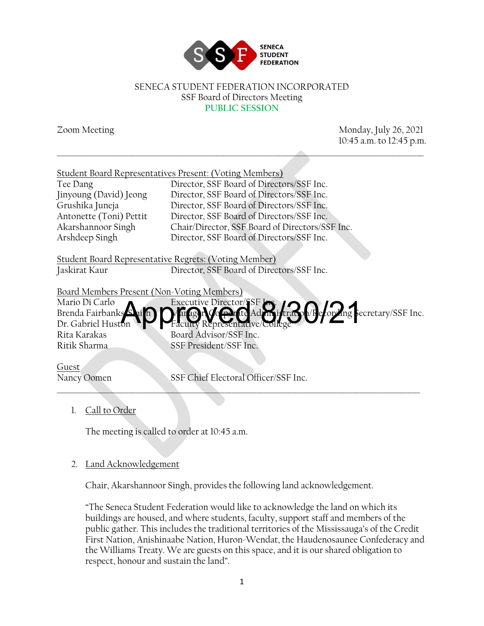

#### SENECA STUDENT FEDERATION INCORPORATED SSF Board of Directors Meeting **PUBLIC SESSION**

\_\_\_\_\_\_\_\_\_\_\_\_\_\_\_\_\_\_\_\_\_\_\_\_\_\_\_\_\_\_\_\_\_\_\_\_\_\_\_\_\_\_\_\_\_\_\_\_\_\_\_\_\_\_\_\_\_\_\_\_\_\_\_\_\_\_\_\_\_\_\_\_\_\_\_\_\_\_\_\_\_\_\_\_\_\_\_\_\_\_\_\_\_\_\_\_\_\_\_\_\_\_\_

Zoom Meeting Monday, July 26, 2021 10:45 a.m. to 12:45 p.m.

| Student Board Representatives Present: (Voting Members)                                            |
|----------------------------------------------------------------------------------------------------|
| Director, SSF Board of Directors/SSF Inc.                                                          |
| Director, SSF Board of Directors/SSF Inc.                                                          |
| Director, SSF Board of Directors/SSF Inc.                                                          |
| Director, SSF Board of Directors/SSF Inc.                                                          |
| Chair/Director, SSF Board of Directors/SSF Inc.                                                    |
| Director, SSF Board of Directors/SSF Inc.                                                          |
| Student Board Representative Regrets: (Voting Member)<br>Director, SSF Board of Directors/SSF Inc. |
| Board Members Present (Non-Voting Members)                                                         |
| Executive Director/SSF                                                                             |
| Executive Director/JSF C. C. C. C. Deformal Secretary/SSF Inc.                                     |
| Faculty Representative/C                                                                           |
| Board Advisor/SSF Inc.                                                                             |
| SSF President/SSF Inc.                                                                             |
|                                                                                                    |

Guest

Nancy Oomen SSF Chief Electoral Officer/SSF Inc. \_\_\_\_\_\_\_\_\_\_\_\_\_\_\_\_\_\_\_\_\_\_\_\_\_\_\_\_\_\_\_\_\_\_\_\_\_\_\_\_\_\_\_\_\_\_\_\_\_\_\_\_\_\_\_\_\_\_\_\_\_\_\_\_\_\_\_\_\_\_\_\_\_\_\_\_\_\_\_\_\_\_\_\_\_\_\_\_\_\_\_\_\_\_\_\_\_\_\_\_\_\_

## 1. Call to Order

The meeting is called to order at 10:45 a.m.

## 2. Land Acknowledgement

Chair, Akarshannoor Singh, provides the following land acknowledgement.

"The Seneca Student Federation would like to acknowledge the land on which its buildings are housed, and where students, faculty, support staff and members of the public gather. This includes the traditional territories of the Mississauga's of the Credit First Nation, Anishinaabe Nation, Huron-Wendat, the Haudenosaunee Confederacy and the Williams Treaty. We are guests on this space, and it is our shared obligation to respect, honour and sustain the land".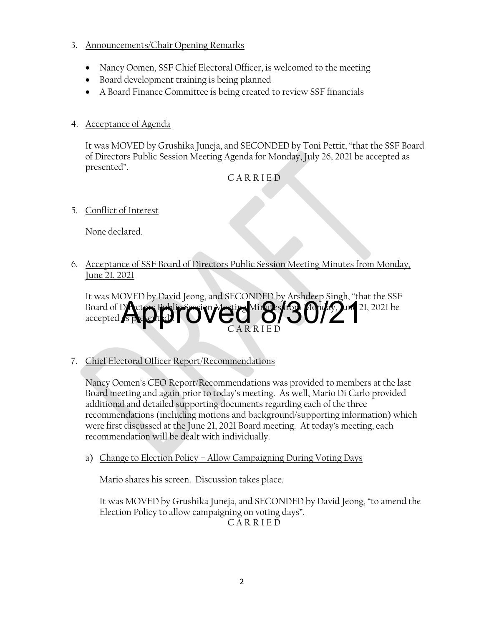## 3. Announcements/Chair Opening Remarks

- Nancy Oomen, SSF Chief Electoral Officer, is welcomed to the meeting
- Board development training is being planned
- A Board Finance Committee is being created to review SSF financials

# 4. Acceptance of Agenda

It was MOVED by Grushika Juneja, and SECONDED by Toni Pettit, "that the SSF Board of Directors Public Session Meeting Agenda for Monday, July 26, 2021 be accepted as presented".

# C A R R I E D

5. Conflict of Interest

None declared.

6. Acceptance of SSF Board of Directors Public Session Meeting Minutes from Monday, June 21, 2021

It was MOVED by David Jeong, and SECONDED by Arshdeep Singh, "that the SSF Board of Directors Public Session Mesting Minutes from Monday, June 21, 2021 be accepted *i* C A R R I E D **Atproved 8/30/212** 

7. Chief Electoral Officer Report/Recommendations

Nancy Oomen's CEO Report/Recommendations was provided to members at the last Board meeting and again prior to today's meeting. As well, Mario Di Carlo provided additional and detailed supporting documents regarding each of the three recommendations (including motions and background/supporting information) which were first discussed at the June 21, 2021 Board meeting. At today's meeting, each recommendation will be dealt with individually.

a) Change to Election Policy – Allow Campaigning During Voting Days

Mario shares his screen. Discussion takes place.

It was MOVED by Grushika Juneja, and SECONDED by David Jeong, "to amend the Election Policy to allow campaigning on voting days". C A R R I E D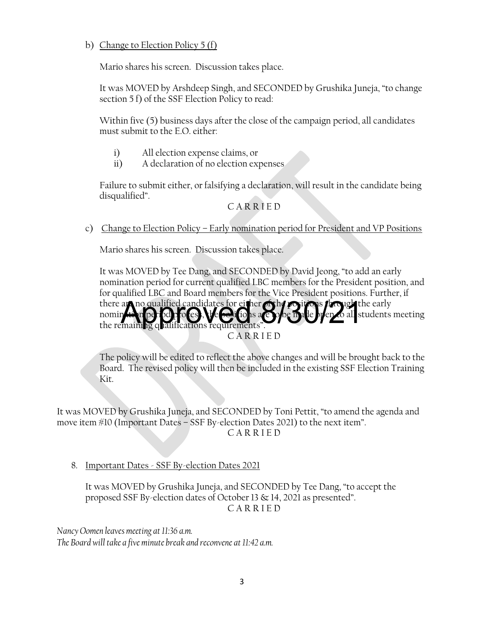## b) Change to Election Policy 5 (f)

Mario shares his screen. Discussion takes place.

It was MOVED by Arshdeep Singh, and SECONDED by Grushika Juneja, "to change section 5 f) of the SSF Election Policy to read:

Within five (5) business days after the close of the campaign period, all candidates must submit to the E.O. either:

- i) All election expense claims, or
- ii) A declaration of no election expenses

Failure to submit either, or falsifying a declaration, will result in the candidate being disqualified".

## C A R R I E D

c) Change to Election Policy – Early nomination period for President and VP Positions

Mario shares his screen. Discussion takes place.

It was MOVED by Tee Dang, and SECONDED by David Jeong, "to add an early nomination period for current qualified LBC members for the President position, and for qualified LBC and Board members for the Vice President positions. Further, if there are no qualified candidates for either of the positions through the early<br>nomine in positions, it also also also be the preparal students nomin**ation period proces), the begitions are solbe made open to all students meeting** the remaining qualifications requirements" C A R R I E D

The policy will be edited to reflect the above changes and will be brought back to the Board. The revised policy will then be included in the existing SSF Election Training Kit.

It was MOVED by Grushika Juneja, and SECONDED by Toni Pettit, "to amend the agenda and move item #10 (Important Dates – SSF By-election Dates 2021) to the next item". C A R R I E D

8. Important Dates - SSF By-election Dates 2021

It was MOVED by Grushika Juneja, and SECONDED by Tee Dang, "to accept the proposed SSF By-election dates of October 13 & 14, 2021 as presented". C A R R I E D

*Nancy Oomen leaves meeting at 11:36 a.m. The Board will take a five minute break and reconvene at 11:42 a.m.*